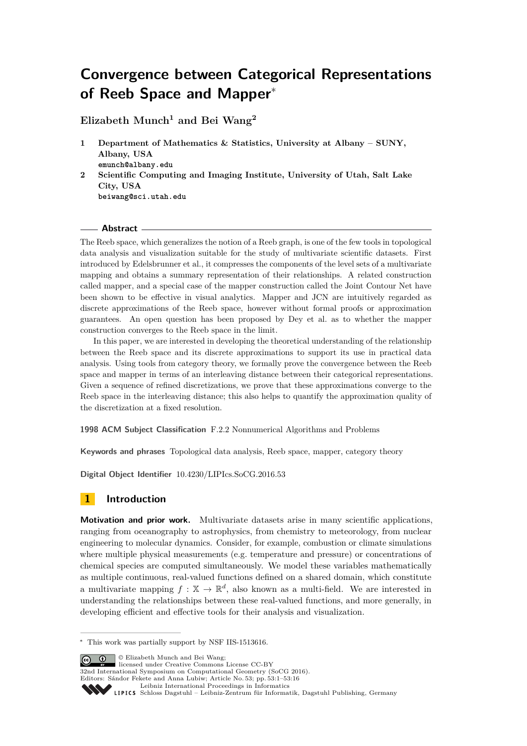# **Convergence between Categorical Representations of Reeb Space and Mapper**<sup>∗</sup>

**Elizabeth Munch<sup>1</sup> and Bei Wang<sup>2</sup>**

- **1 Department of Mathematics & Statistics, University at Albany SUNY, Albany, USA emunch@albany.edu**
- **2 Scientific Computing and Imaging Institute, University of Utah, Salt Lake City, USA beiwang@sci.utah.edu**

### **Abstract**

The Reeb space, which generalizes the notion of a Reeb graph, is one of the few tools in topological data analysis and visualization suitable for the study of multivariate scientific datasets. First introduced by Edelsbrunner et al., it compresses the components of the level sets of a multivariate mapping and obtains a summary representation of their relationships. A related construction called mapper, and a special case of the mapper construction called the Joint Contour Net have been shown to be effective in visual analytics. Mapper and JCN are intuitively regarded as discrete approximations of the Reeb space, however without formal proofs or approximation guarantees. An open question has been proposed by Dey et al. as to whether the mapper construction converges to the Reeb space in the limit.

In this paper, we are interested in developing the theoretical understanding of the relationship between the Reeb space and its discrete approximations to support its use in practical data analysis. Using tools from category theory, we formally prove the convergence between the Reeb space and mapper in terms of an interleaving distance between their categorical representations. Given a sequence of refined discretizations, we prove that these approximations converge to the Reeb space in the interleaving distance; this also helps to quantify the approximation quality of the discretization at a fixed resolution.

**1998 ACM Subject Classification** F.2.2 Nonnumerical Algorithms and Problems

**Keywords and phrases** Topological data analysis, Reeb space, mapper, category theory

**Digital Object Identifier** [10.4230/LIPIcs.SoCG.2016.53](http://dx.doi.org/10.4230/LIPIcs.SoCG.2016.53)

# **1 Introduction**

**Motivation and prior work.** Multivariate datasets arise in many scientific applications, ranging from oceanography to astrophysics, from chemistry to meteorology, from nuclear engineering to molecular dynamics. Consider, for example, combustion or climate simulations where multiple physical measurements (e.g. temperature and pressure) or concentrations of chemical species are computed simultaneously. We model these variables mathematically as multiple continuous, real-valued functions defined on a shared domain, which constitute a multivariate mapping  $f: \mathbb{X} \to \mathbb{R}^d$ , also known as a multi-field. We are interested in understanding the relationships between these real-valued functions, and more generally, in developing efficient and effective tools for their analysis and visualization.

© Elizabeth Munch and Bei Wang; licensed under Creative Commons License CC-BY 32nd International Symposium on Computational Geometry (SoCG 2016). Editors: Sándor Fekete and Anna Lubiw; Article No. 53; pp. 53:1–53[:16](#page-15-0) [Leibniz International Proceedings in Informatics](http://www.dagstuhl.de/lipics/)

[Schloss Dagstuhl – Leibniz-Zentrum für Informatik, Dagstuhl Publishing, Germany](http://www.dagstuhl.de)

<sup>∗</sup> This work was partially support by NSF IIS-1513616.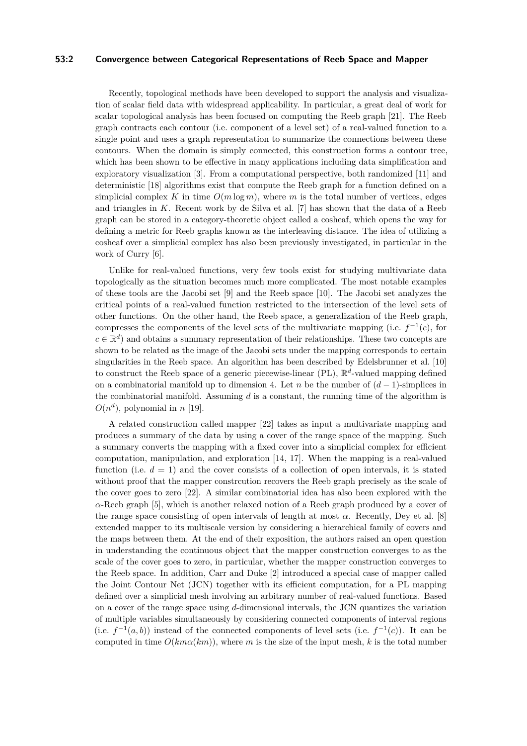### **53:2 Convergence between Categorical Representations of Reeb Space and Mapper**

Recently, topological methods have been developed to support the analysis and visualization of scalar field data with widespread applicability. In particular, a great deal of work for scalar topological analysis has been focused on computing the Reeb graph [\[21\]](#page-15-1). The Reeb graph contracts each contour (i.e. component of a level set) of a real-valued function to a single point and uses a graph representation to summarize the connections between these contours. When the domain is simply connected, this construction forms a contour tree, which has been shown to be effective in many applications including data simplification and exploratory visualization [\[3\]](#page-14-0). From a computational perspective, both randomized [\[11\]](#page-15-2) and deterministic [\[18\]](#page-15-3) algorithms exist that compute the Reeb graph for a function defined on a simplicial complex K in time  $O(m \log m)$ , where m is the total number of vertices, edges and triangles in *K*. Recent work by de Silva et al. [\[7\]](#page-14-1) has shown that the data of a Reeb graph can be stored in a category-theoretic object called a cosheaf, which opens the way for defining a metric for Reeb graphs known as the interleaving distance. The idea of utilizing a cosheaf over a simplicial complex has also been previously investigated, in particular in the work of Curry [\[6\]](#page-14-2).

Unlike for real-valued functions, very few tools exist for studying multivariate data topologically as the situation becomes much more complicated. The most notable examples of these tools are the Jacobi set [\[9\]](#page-15-4) and the Reeb space [\[10\]](#page-15-5). The Jacobi set analyzes the critical points of a real-valued function restricted to the intersection of the level sets of other functions. On the other hand, the Reeb space, a generalization of the Reeb graph, compresses the components of the level sets of the multivariate mapping (i.e.  $f^{-1}(c)$ , for  $c \in \mathbb{R}^d$  and obtains a summary representation of their relationships. These two concepts are shown to be related as the image of the Jacobi sets under the mapping corresponds to certain singularities in the Reeb space. An algorithm has been described by Edelsbrunner et al. [\[10\]](#page-15-5) to construct the Reeb space of a generic piecewise-linear (PL),  $\mathbb{R}^d$ -valued mapping defined on a combinatorial manifold up to dimension 4. Let *n* be the number of  $(d-1)$ -simplices in the combinatorial manifold. Assuming *d* is a constant, the running time of the algorithm is  $O(n^d)$ , polynomial in *n* [\[19\]](#page-15-6).

A related construction called mapper [\[22\]](#page-15-7) takes as input a multivariate mapping and produces a summary of the data by using a cover of the range space of the mapping. Such a summary converts the mapping with a fixed cover into a simplicial complex for efficient computation, manipulation, and exploration [\[14,](#page-15-8) [17\]](#page-15-9). When the mapping is a real-valued function (i.e.  $d = 1$ ) and the cover consists of a collection of open intervals, it is stated without proof that the mapper constrcution recovers the Reeb graph precisely as the scale of the cover goes to zero [\[22\]](#page-15-7). A similar combinatorial idea has also been explored with the *α*-Reeb graph [\[5\]](#page-14-3), which is another relaxed notion of a Reeb graph produced by a cover of the range space consisting of open intervals of length at most  $\alpha$ . Recently, Dey et al. [\[8\]](#page-14-4) extended mapper to its multiscale version by considering a hierarchical family of covers and the maps between them. At the end of their exposition, the authors raised an open question in understanding the continuous object that the mapper construction converges to as the scale of the cover goes to zero, in particular, whether the mapper construction converges to the Reeb space. In addition, Carr and Duke [\[2\]](#page-14-5) introduced a special case of mapper called the Joint Contour Net (JCN) together with its efficient computation, for a PL mapping defined over a simplicial mesh involving an arbitrary number of real-valued functions. Based on a cover of the range space using *d*-dimensional intervals, the JCN quantizes the variation of multiple variables simultaneously by considering connected components of interval regions (i.e.  $f^{-1}(a, b)$ ) instead of the connected components of level sets (i.e.  $f^{-1}(c)$ ). It can be computed in time  $O(km\alpha(km))$ , where *m* is the size of the input mesh, *k* is the total number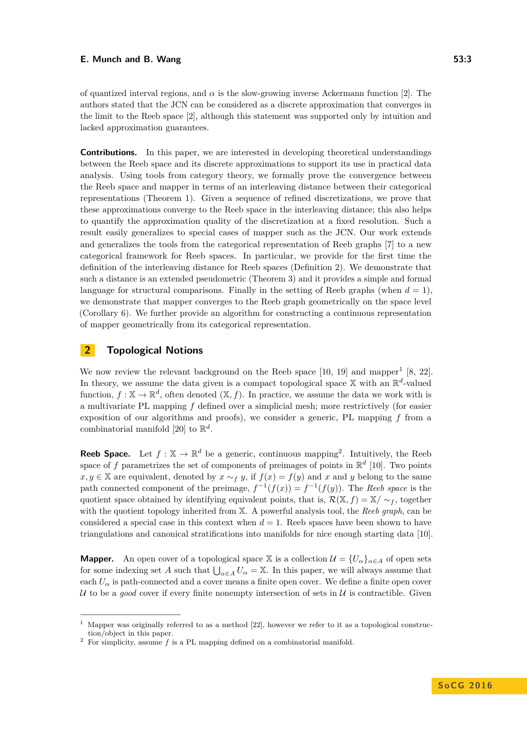of quantized interval regions, and  $\alpha$  is the slow-growing inverse Ackermann function [\[2\]](#page-14-5). The authors stated that the JCN can be considered as a discrete approximation that converges in the limit to the Reeb space [\[2\]](#page-14-5), although this statement was supported only by intuition and lacked approximation guarantees.

**Contributions.** In this paper, we are interested in developing theoretical understandings between the Reeb space and its discrete approximations to support its use in practical data analysis. Using tools from category theory, we formally prove the convergence between the Reeb space and mapper in terms of an interleaving distance between their categorical representations (Theorem [1\)](#page-7-0). Given a sequence of refined discretizations, we prove that these approximations converge to the Reeb space in the interleaving distance; this also helps to quantify the approximation quality of the discretization at a fixed resolution. Such a result easily generalizes to special cases of mapper such as the JCN. Our work extends and generalizes the tools from the categorical representation of Reeb graphs [\[7\]](#page-14-1) to a new categorical framework for Reeb spaces. In particular, we provide for the first time the definition of the interleaving distance for Reeb spaces (Definition [2\)](#page-8-0). We demonstrate that such a distance is an extended pseudometric (Theorem [3\)](#page-8-1) and it provides a simple and formal language for structural comparisons. Finally in the setting of Reeb graphs (when  $d = 1$ ), we demonstrate that mapper converges to the Reeb graph geometrically on the space level (Corollary [6\)](#page-13-0). We further provide an algorithm for constructing a continuous representation of mapper geometrically from its categorical representation.

# <span id="page-2-2"></span>**2 Topological Notions**

We now review the relevant background on the Reeb space  $[10, 19]$  $[10, 19]$  $[10, 19]$  and mapper<sup>[1](#page-2-0)</sup>  $[8, 22]$  $[8, 22]$  $[8, 22]$ . In theory, we assume the data given is a compact topological space  $X$  with an  $\mathbb{R}^d$ -valued function,  $f: \mathbb{X} \to \mathbb{R}^d$ , often denoted  $(\mathbb{X}, f)$ . In practice, we assume the data we work with is a multivariate PL mapping *f* defined over a simplicial mesh; more restrictively (for easier exposition of our algorithms and proofs), we consider a generic, PL mapping *f* from a combinatorial manifold [\[20\]](#page-15-10) to  $\mathbb{R}^d$ .

**Reeb Space.** Let  $f : \mathbb{X} \to \mathbb{R}^d$  be a generic, continuous mapping<sup>[2](#page-2-1)</sup>. Intuitively, the Reeb space of f parametrizes the set of components of preimages of points in  $\mathbb{R}^d$  [\[10\]](#page-15-5). Two points *x, y* ∈ X are equivalent, denoted by  $x \sim_f y$ , if  $f(x) = f(y)$  and *x* and *y* belong to the same path connected component of the preimage,  $f^{-1}(f(x)) = f^{-1}(f(y))$ . The *Reeb space* is the quotient space obtained by identifying equivalent points, that is,  $\mathcal{R}(\mathbb{X}, f) = \mathbb{X}/ \sim_f$ , together with the quotient topology inherited from X. A powerful analysis tool, the *Reeb graph*, can be considered a special case in this context when  $d = 1$ . Reeb spaces have been shown to have triangulations and canonical stratifications into manifolds for nice enough starting data [\[10\]](#page-15-5).

**Mapper.** An open cover of a topological space X is a collection  $\mathcal{U} = \{U_{\alpha}\}_{{\alpha \in A}}$  of open sets for some indexing set *A* such that  $\bigcup_{\alpha \in A} U_{\alpha} = \mathbb{X}$ . In this paper, we will always assume that each  $U_{\alpha}$  is path-connected and a cover means a finite open cover. We define a finite open cover U to be a *good* cover if every finite nonempty intersection of sets in U is contractible. Given

<span id="page-2-0"></span><sup>1</sup> Mapper was originally referred to as a method [\[22\]](#page-15-7), however we refer to it as a topological construction/object in this paper.

<span id="page-2-1"></span><sup>2</sup> For simplicity, assume *f* is a PL mapping defined on a combinatorial manifold.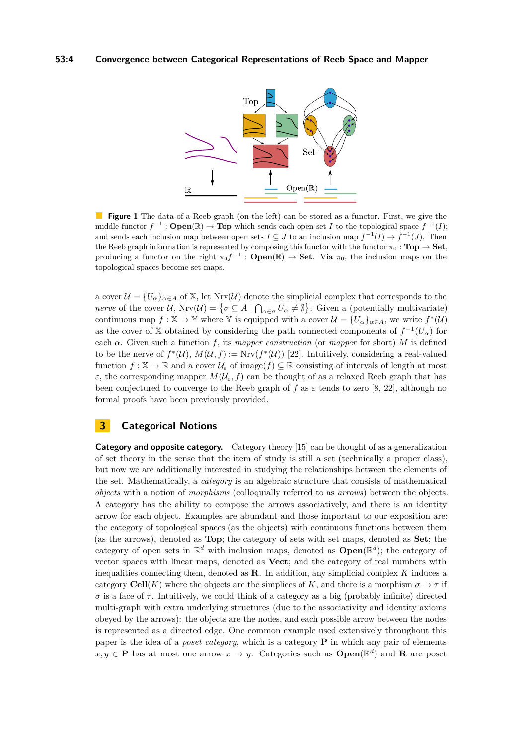<span id="page-3-0"></span>

**Figure 1** The data of a Reeb graph (on the left) can be stored as a functor. First, we give the middle functor  $f^{-1}$ : **Open**( $\mathbb{R}$ )  $\to$  **Top** which sends each open set *I* to the topological space  $f^{-1}(I)$ ; and sends each inclusion map between open sets  $I \subseteq J$  to an inclusion map  $f^{-1}(I) \to f^{-1}(J)$ . Then the Reeb graph information is represented by composing this functor with the functor  $\pi_0$  : **Top**  $\rightarrow$  **Set**, producing a functor on the right  $\pi_0 f^{-1}$ : **Open**(R)  $\rightarrow$  **Set**. Via  $\pi_0$ , the inclusion maps on the topological spaces become set maps.

a cover  $\mathcal{U} = \{U_{\alpha}\}_{{\alpha \in A}}$  of X, let  $Nrv(\mathcal{U})$  denote the simplicial complex that corresponds to the *nerve* of the cover  $U$ ,  $Nrv(U) = \{ \sigma \subseteq A \mid \bigcap_{\alpha \in \sigma} U_{\alpha} \neq \emptyset \}$ . Given a (potentially multivariate) continuous map  $f: \mathbb{X} \to \mathbb{Y}$  where  $\mathbb{Y}$  is equipped with a cover  $\mathcal{U} = \{U_{\alpha}\}_{{\alpha \in A}},$  we write  $f^*(\mathcal{U})$ as the cover of X obtained by considering the path connected components of  $f^{-1}(U_\alpha)$  for each  $\alpha$ . Given such a function *f*, its *mapper construction* (or *mapper* for short) *M* is defined to be the nerve of  $f^*(\mathcal{U}), M(\mathcal{U}, f) := \text{Nrv}(f^*(\mathcal{U}))$  [\[22\]](#page-15-7). Intuitively, considering a real-valued function  $f: \mathbb{X} \to \mathbb{R}$  and a cover  $\mathcal{U}_{\varepsilon}$  of image( $f$ )  $\subseteq \mathbb{R}$  consisting of intervals of length at most *ε*, the corresponding mapper  $M(\mathcal{U}_{\varepsilon}, f)$  can be thought of as a relaxed Reeb graph that has been conjectured to converge to the Reeb graph of f as  $\varepsilon$  tends to zero [\[8,](#page-14-4) [22\]](#page-15-7), although no formal proofs have been previously provided.

# <span id="page-3-1"></span>**3 Categorical Notions**

**Category and opposite category.** Category theory [\[15\]](#page-15-11) can be thought of as a generalization of set theory in the sense that the item of study is still a set (technically a proper class), but now we are additionally interested in studying the relationships between the elements of the set. Mathematically, a *category* is an algebraic structure that consists of mathematical *objects* with a notion of *morphisms* (colloquially referred to as *arrows*) between the objects. A category has the ability to compose the arrows associatively, and there is an identity arrow for each object. Examples are abundant and those important to our exposition are: the category of topological spaces (as the objects) with continuous functions between them (as the arrows), denoted as **Top**; the category of sets with set maps, denoted as **Set**; the category of open sets in  $\mathbb{R}^d$  with inclusion maps, denoted as  $\text{Open}(\mathbb{R}^d)$ ; the category of vector spaces with linear maps, denoted as **Vect**; and the category of real numbers with inequalities connecting them, denoted as **R**. In addition, any simplicial complex *K* induces a category **Cell**(*K*) where the objects are the simplices of *K*, and there is a morphism  $\sigma \to \tau$  if  $\sigma$  is a face of  $\tau$ . Intuitively, we could think of a category as a big (probably infinite) directed multi-graph with extra underlying structures (due to the associativity and identity axioms obeyed by the arrows): the objects are the nodes, and each possible arrow between the nodes is represented as a directed edge. One common example used extensively throughout this paper is the idea of a *poset category*, which is a category **P** in which any pair of elements  $x, y \in \mathbf{P}$  has at most one arrow  $x \to y$ . Categories such as  $\mathbf{Open}(\mathbb{R}^d)$  and **R** are poset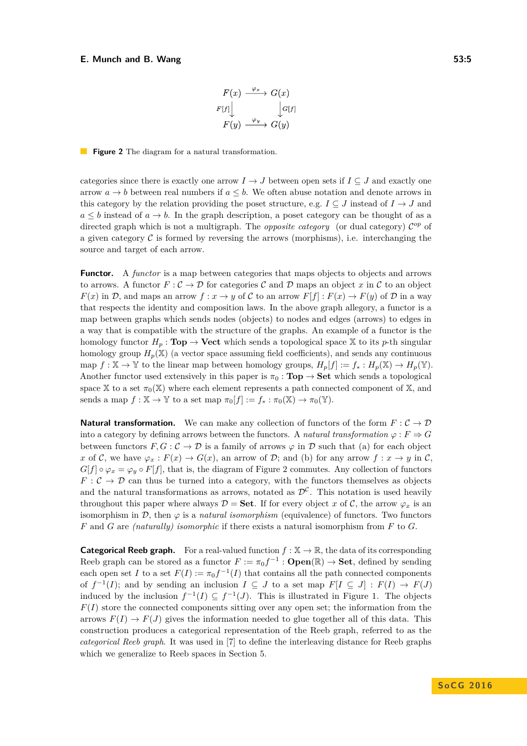$$
F(x) \xrightarrow{\varphi_x} G(x)
$$
  

$$
F[f] \downarrow \qquad \qquad \downarrow G[f]
$$
  

$$
F(y) \xrightarrow{\varphi_y} G(y)
$$

### <span id="page-4-0"></span>**Figure 2** The diagram for a natural transformation.

categories since there is exactly one arrow  $I \to J$  between open sets if  $I \subset J$  and exactly one arrow  $a \rightarrow b$  between real numbers if  $a \leq b$ . We often abuse notation and denote arrows in this category by the relation providing the poset structure, e.g.  $I \subseteq J$  instead of  $I \to J$  and  $a \leq b$  instead of  $a \to b$ . In the graph description, a poset category can be thought of as a directed graph which is not a multigraph. The *opposite category* (or dual category)  $\mathcal{C}^{op}$  of a given category  $\mathcal C$  is formed by reversing the arrows (morphisms), i.e. interchanging the source and target of each arrow.

**Functor.** A *functor* is a map between categories that maps objects to objects and arrows to arrows. A functor  $F: \mathcal{C} \to \mathcal{D}$  for categories  $\mathcal{C}$  and  $\mathcal{D}$  maps an object x in  $\mathcal{C}$  to an object *F*(*x*) in D, and maps an arrow  $f: x \to y$  of C to an arrow  $F[f]: F(x) \to F(y)$  of D in a way that respects the identity and composition laws. In the above graph allegory, a functor is a map between graphs which sends nodes (objects) to nodes and edges (arrows) to edges in a way that is compatible with the structure of the graphs. An example of a functor is the homology functor  $H_p$ : **Top**  $\rightarrow$  **Vect** which sends a topological space X to its *p*-th singular homology group  $H_p(\mathbb{X})$  (a vector space assuming field coefficients), and sends any continuous map  $f: \mathbb{X} \to \mathbb{Y}$  to the linear map between homology groups,  $H_p[f] := f_* : H_p(\mathbb{X}) \to H_p(\mathbb{Y})$ . Another functor used extensively in this paper is  $\pi_0 : \textbf{Top} \to \textbf{Set}$  which sends a topological space X to a set  $\pi_0(X)$  where each element represents a path connected component of X, and sends a map  $f : \mathbb{X} \to \mathbb{Y}$  to a set map  $\pi_0[f] := f_* : \pi_0(\mathbb{X}) \to \pi_0(\mathbb{Y})$ .

**Natural transformation.** We can make any collection of functors of the form  $F: \mathcal{C} \to \mathcal{D}$ into a category by defining arrows between the functors. A *natural transformation*  $\varphi : F \Rightarrow G$ between functors  $F, G : C \to \mathcal{D}$  is a family of arrows  $\varphi$  in  $\mathcal D$  such that (a) for each object *x* of C, we have  $\varphi_x : F(x) \to G(x)$ , an arrow of D; and (b) for any arrow  $f : x \to y$  in C,  $G[f] \circ \varphi_x = \varphi_y \circ F[f]$ , that is, the diagram of Figure [2](#page-4-0) commutes. Any collection of functors  $F: \mathcal{C} \to \mathcal{D}$  can thus be turned into a category, with the functors themselves as objects and the natural transformations as arrows, notated as  $\mathcal{D}^{\mathcal{C}}$ . This notation is used heavily throughout this paper where always  $\mathcal{D} = \mathbf{Set}$ . If for every object *x* of  $\mathcal{C}$ , the arrow  $\varphi_x$  is an isomorphism in  $\mathcal{D}$ , then  $\varphi$  is a *natural isomorphism* (equivalence) of functors. Two functors *F* and *G* are *(naturally) isomorphic* if there exists a natural isomorphism from *F* to *G*.

**Categorical Reeb graph.** For a real-valued function  $f : \mathbb{X} \to \mathbb{R}$ , the data of its corresponding Reeb graph can be stored as a functor  $F := \pi_0 f^{-1} : \mathbf{Open}(\mathbb{R}) \to \mathbf{Set}$ , defined by sending each open set *I* to a set  $F(I) := \pi_0 f^{-1}(I)$  that contains all the path connected components of  $f^{-1}(I)$ ; and by sending an inclusion  $I \subseteq J$  to a set map  $F[I \subseteq J] : F(I) \to F(J)$ induced by the inclusion  $f^{-1}(I) \subseteq f^{-1}(J)$ . This is illustrated in Figure [1.](#page-3-0) The objects  $F(I)$  store the connected components sitting over any open set; the information from the arrows  $F(I) \to F(J)$  gives the information needed to glue together all of this data. This construction produces a categorical representation of the Reeb graph, referred to as the *categorical Reeb graph*. It was used in [\[7\]](#page-14-1) to define the interleaving distance for Reeb graphs which we generalize to Reeb spaces in Section [5.](#page-8-2)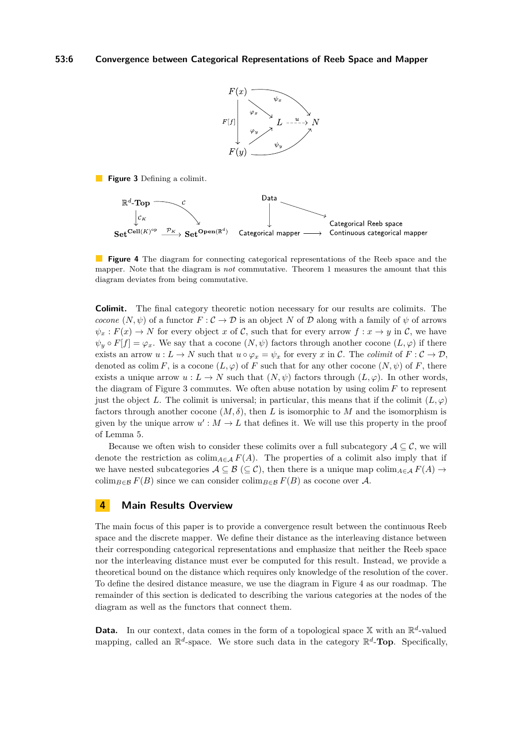

<span id="page-5-0"></span>**Figure 3** Defining a colimit.

<span id="page-5-1"></span>

**Figure 4** The diagram for connecting categorical representations of the Reeb space and the mapper. Note that the diagram is *not* commutative. Theorem [1](#page-7-0) measures the amount that this diagram deviates from being commutative.

**Colimit.** The final category theoretic notion necessary for our results are colimits. The *cocone*  $(N, \psi)$  of a functor  $F : C \to \mathcal{D}$  is an object N of  $\mathcal D$  along with a family of  $\psi$  of arrows  $\psi_x : F(x) \to N$  for every object *x* of C, such that for every arrow  $f : x \to y$  in C, we have  $\psi_y \circ F[f] = \varphi_x$ . We say that a cocone  $(N, \psi)$  factors through another cocone  $(L, \varphi)$  if there exists an arrow  $u : L \to N$  such that  $u \circ \varphi_x = \psi_x$  for every *x* in C. The *colimit* of  $F : C \to \mathcal{D}$ , denoted as colim *F*, is a cocone  $(L, \varphi)$  of *F* such that for any other cocone  $(N, \psi)$  of *F*, there exists a unique arrow  $u : L \to N$  such that  $(N, \psi)$  factors through  $(L, \varphi)$ . In other words, the diagram of Figure [3](#page-5-0) commutes. We often abuse notation by using colim *F* to represent just the object *L*. The colimit is universal; in particular, this means that if the colimit  $(L, \varphi)$ factors through another cocone (*M, δ*), then *L* is isomorphic to *M* and the isomorphism is given by the unique arrow  $u': M \to L$  that defines it. We will use this property in the proof of Lemma [5.](#page-10-0)

Because we often wish to consider these colimits over a full subcategory  $A \subseteq \mathcal{C}$ , we will denote the restriction as  $\text{colim}_{A \in \mathcal{A}} F(A)$ . The properties of a colimit also imply that if we have nested subcategories  $A \subseteq B \subseteq C$ , then there is a unique map colim<sub>*A*∈A</sub>  $F(A) \rightarrow$ colim<sub>*B*∈B</sub>  $F(B)$  since we can consider colim<sub>*B*∈B</sub>  $F(B)$  as cocone over A.

# <span id="page-5-2"></span>**4 Main Results Overview**

The main focus of this paper is to provide a convergence result between the continuous Reeb space and the discrete mapper. We define their distance as the interleaving distance between their corresponding categorical representations and emphasize that neither the Reeb space nor the interleaving distance must ever be computed for this result. Instead, we provide a theoretical bound on the distance which requires only knowledge of the resolution of the cover. To define the desired distance measure, we use the diagram in Figure [4](#page-5-1) as our roadmap. The remainder of this section is dedicated to describing the various categories at the nodes of the diagram as well as the functors that connect them.

**Data.** In our context, data comes in the form of a topological space  $X$  with an  $\mathbb{R}^d$ -valued mapping, called an  $\mathbb{R}^d$ -space. We store such data in the category  $\mathbb{R}^d$ -**Top**. Specifically,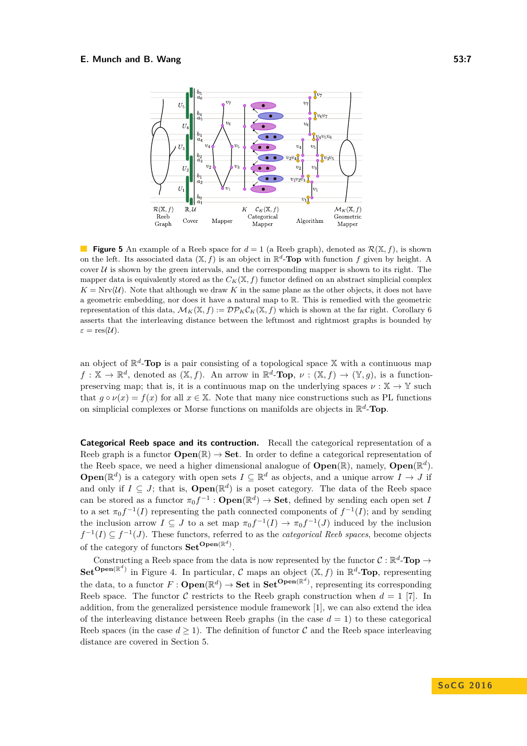<span id="page-6-0"></span>

**Figure 5** An example of a Reeb space for  $d = 1$  (a Reeb graph), denoted as  $\mathcal{R}(\mathbb{X}, f)$ , is shown on the left. Its associated data  $(X, f)$  is an object in  $\mathbb{R}^d$ -**Top** with function f given by height. A cover  $U$  is shown by the green intervals, and the corresponding mapper is shown to its right. The mapper data is equivalently stored as the  $C_K(\mathbb{X}, f)$  functor defined on an abstract simplicial complex  $K = Nrv(\mathcal{U})$ . Note that although we draw K in the same plane as the other objects, it does not have a geometric embedding, nor does it have a natural map to R. This is remedied with the geometric representation of this data,  $\mathcal{M}_K(\mathbb{X}, f) := \mathcal{DP}_K \mathcal{C}_K(\mathbb{X}, f)$  which is shown at the far right. Corollary [6](#page-13-0) asserts that the interleaving distance between the leftmost and rightmost graphs is bounded by  $\varepsilon = \text{res}(\mathcal{U}).$ 

an object of  $\mathbb{R}^d$ -**Top** is a pair consisting of a topological space X with a continuous map  $f: \mathbb{X} \to \mathbb{R}^d$ , denoted as  $(\mathbb{X}, f)$ . An arrow in  $\mathbb{R}^d$ -**Top**,  $\nu: (\mathbb{X}, f) \to (\mathbb{Y}, g)$ , is a functionpreserving map; that is, it is a continuous map on the underlying spaces  $\nu : \mathbb{X} \to \mathbb{Y}$  such that  $g \circ \nu(x) = f(x)$  for all  $x \in \mathbb{X}$ . Note that many nice constructions such as PL functions on simplicial complexes or Morse functions on manifolds are objects in R *d* -**Top**.

**Categorical Reeb space and its contruction.** Recall the categorical representation of a Reeb graph is a functor  $\mathbf{Open}(\mathbb{R}) \to \mathbf{Set}$ . In order to define a categorical representation of the Reeb space, we need a higher dimensional analogue of  $\text{Open}(\mathbb{R})$ , namely,  $\text{Open}(\mathbb{R}^d)$ . **Open**( $\mathbb{R}^d$ ) is a category with open sets  $I \subseteq \mathbb{R}^d$  as objects, and a unique arrow  $I \to J$  if and only if  $I \subseteq J$ ; that is,  $\text{Open}(\mathbb{R}^d)$  is a poset category. The data of the Reeb space can be stored as a functor  $\pi_0 f^{-1} : \mathbf{Open}(\mathbb{R}^d) \to \mathbf{Set}$ , defined by sending each open set *I* to a set  $\pi_0 f^{-1}(I)$  representing the path connected components of  $f^{-1}(I)$ ; and by sending the inclusion arrow  $I \subseteq J$  to a set map  $\pi_0 f^{-1}(I) \to \pi_0 f^{-1}(J)$  induced by the inclusion  $f^{-1}(I) \subseteq f^{-1}(J)$ . These functors, referred to as the *categorical Reeb spaces*, become objects of the category of functors **SetOpen**(<sup>R</sup> *d* ) .

Constructing a Reeb space from the data is now represented by the functor  $C : \mathbb{R}^d$ -**Top**  $\rightarrow$ **Set**<sup>**Open**( $\mathbb{R}^d$ ) in Figure [4.](#page-5-1) In particular, C maps an object  $(\mathbb{X}, f)$  in  $\mathbb{R}^d$ -**Top**, representing</sup> the data, to a functor  $F: \textbf{Open}(\mathbb{R}^d) \to \textbf{Set}$  in  $\textbf{Set}^{\textbf{Open}(\mathbb{R}^d)}$ , representing its corresponding Reeb space. The functor C restricts to the Reeb graph construction when  $d = 1$  [\[7\]](#page-14-1). In addition, from the generalized persistence module framework [\[1\]](#page-14-6), we can also extend the idea of the interleaving distance between Reeb graphs (in the case  $d = 1$ ) to these categorical Reeb spaces (in the case  $d \geq 1$ ). The definition of functor C and the Reeb space interleaving distance are covered in Section [5.](#page-8-2)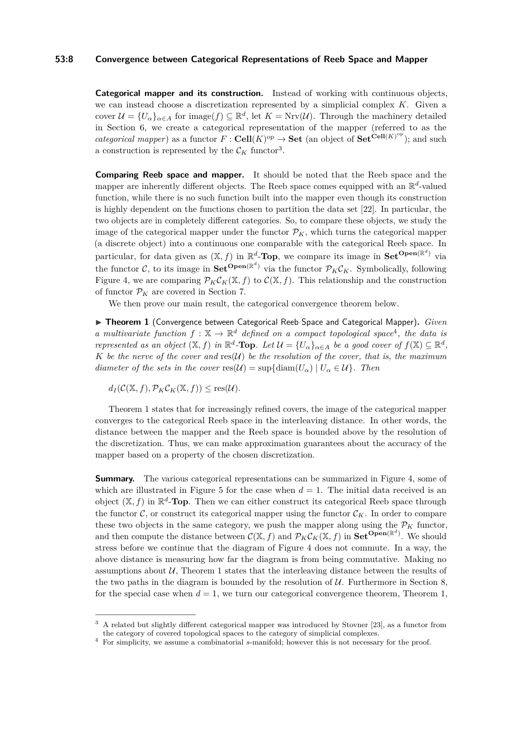### **53:8 Convergence between Categorical Representations of Reeb Space and Mapper**

**Categorical mapper and its construction.** Instead of working with continuous objects, we can instead choose a discretization represented by a simplicial complex *K*. Given a cover  $\mathcal{U} = \{U_{\alpha}\}_{{\alpha \in A}}$  for image $(f) \subseteq \mathbb{R}^d$ , let  $K = Nrv(\mathcal{U})$ . Through the machinery detailed in Section [6,](#page-9-0) we create a categorical representation of the mapper (referred to as the *categorical mapper*) as a functor  $F : \mathbf{Cell}(K)^{op} \to \mathbf{Set}$  (an object of  $\mathbf{Set}^{\mathbf{Cell}(K)^{op}}$ ); and such a construction is represented by the  $\mathcal{C}_K$  functor<sup>[3](#page-7-1)</sup>.

**Comparing Reeb space and mapper.** It should be noted that the Reeb space and the mapper are inherently different objects. The Reeb space comes equipped with an  $\mathbb{R}^d$ -valued function, while there is no such function built into the mapper even though its construction is highly dependent on the functions chosen to partition the data set [\[22\]](#page-15-7). In particular, the two objects are in completely different categories. So, to compare these objects, we study the image of the categorical mapper under the functor  $\mathcal{P}_K$ , which turns the categorical mapper (a discrete object) into a continuous one comparable with the categorical Reeb space. In particular, for data given as  $(X, f)$  in  $\mathbb{R}^d$ -**Top**, we compare its image in  $\mathbf{Set}^{\mathbf{Open}(\mathbb{R}^d)}$  via the functor C, to its image in  $\mathbf{Set}^{\mathbf{Open}(\mathbb{R}^d)}$  via the functor  $\mathcal{P}_K\mathcal{C}_K$ . Symbolically, following Figure [4,](#page-5-1) we are comparing  $\mathcal{P}_K \mathcal{C}_K(\mathbb{X}, f)$  to  $\mathcal{C}(\mathbb{X}, f)$ . This relationship and the construction of functor  $P_K$  are covered in Section [7.](#page-9-1)

We then prove our main result, the categorical convergence theorem below.

<span id="page-7-0"></span>▶ Theorem 1 (Convergence between Categorical Reeb Space and Categorical Mapper). *Given a multivariate function*  $f : \mathbb{X} \to \mathbb{R}^d$  *defined on a compact topological space*<sup>[4](#page-7-2)</sup>, the data is *represented as an object*  $(X, f)$  *in*  $\mathbb{R}^d$ -**Top***. Let*  $\mathcal{U} = \{U_\alpha\}_{\alpha \in A}$  *be a good cover of*  $f(X) \subseteq \mathbb{R}^d$ , *K be the nerve of the cover and*  $res(\mathcal{U})$  *be the resolution of the cover, that is, the maximum diameter of the sets in the cover*  $res(\mathcal{U}) = \sup\{diam(U_{\alpha}) \mid U_{\alpha} \in \mathcal{U}\}\$ . Then

 $d_I(\mathcal{C}(\mathbb{X}, f), \mathcal{P}_K \mathcal{C}_K(\mathbb{X}, f)) \leq \text{res}(\mathcal{U}).$ 

Theorem [1](#page-7-0) states that for increasingly refined covers, the image of the categorical mapper converges to the categorical Reeb space in the interleaving distance. In other words, the distance between the mapper and the Reeb space is bounded above by the resolution of the discretization. Thus, we can make approximation guarantees about the accuracy of the mapper based on a property of the chosen discretization.

**Summary.** The various categorical representations can be summarized in Figure [4,](#page-5-1) some of which are illustrated in Figure [5](#page-6-0) for the case when  $d = 1$ . The initial data received is an object  $(X, f)$  in  $\mathbb{R}^d$ -**Top**. Then we can either construct its categorical Reeb space through the functor  $\mathcal{C}$ , or construct its categorical mapper using the functor  $\mathcal{C}_K$ . In order to compare these two objects in the same category, we push the mapper along using the  $P_K$  functor, and then compute the distance between  $C(\mathbb{X}, f)$  and  $\mathcal{P}_K C_K(\mathbb{X}, f)$  in  $\mathbf{Set}^{\mathbf{Open}(\mathbb{R}^d)}$ . We should stress before we continue that the diagram of Figure [4](#page-5-1) does not commute. In a way, the above distance is measuring how far the diagram is from being commutative. Making no assumptions about  $\mathcal{U}$ , Theorem [1](#page-7-0) states that the interleaving distance between the results of the two paths in the diagram is bounded by the resolution of  $U$ . Furthermore in Section [8,](#page-12-0) for the special case when  $d = 1$ , we turn our categorical convergence theorem, Theorem [1,](#page-7-0)

<span id="page-7-1"></span><sup>3</sup> A related but slightly different categorical mapper was introduced by Stovner [\[23\]](#page-15-12), as a functor from the category of covered topological spaces to the category of simplicial complexes.

<span id="page-7-2"></span><sup>4</sup> For simplicity, we assume a combinatorial *s*-manifold; however this is not necessary for the proof.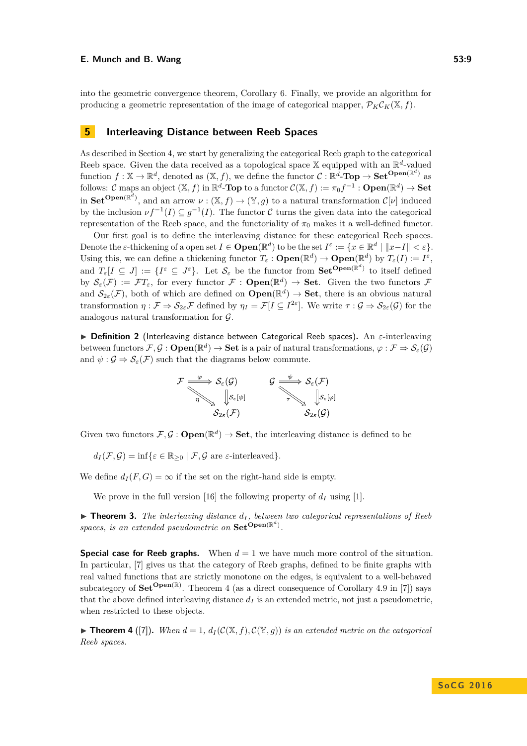into the geometric convergence theorem, Corollary [6.](#page-13-0) Finally, we provide an algorithm for producing a geometric representation of the image of categorical mapper,  $\mathcal{P}_{K}C_{K}(\mathbb{X}, f)$ .

# <span id="page-8-2"></span>**5 Interleaving Distance between Reeb Spaces**

As described in Section [4,](#page-5-2) we start by generalizing the categorical Reeb graph to the categorical Reeb space. Given the data received as a topological space  $\mathbb{X}$  equipped with an  $\mathbb{R}^d$ -valued function  $f: \mathbb{X} \to \mathbb{R}^d$ , denoted as  $(\mathbb{X}, f)$ , we define the functor  $\mathcal{C}: \mathbb{R}^d$ **-Top**  $\to$  **Set**<sup>**Open**( $\mathbb{R}^d$ ) as</sup> follows:  $C$  maps an object  $(X, f)$  in  $\mathbb{R}^d$ -**Top** to a functor  $C(\mathbb{X}, f) := \pi_0 f^{-1} : \mathbf{Open}(\mathbb{R}^d) \to \mathbf{Set}$ in **Set<sup>Open(R<sup>d</sup>), and an arrow**  $\nu : (\mathbb{X}, f) \to (\mathbb{Y}, g)$  **to a natural transformation**  $\mathcal{C}[\nu]$  **induced**</sup> by the inclusion  $\nu f^{-1}(I) \subseteq g^{-1}(I)$ . The functor C turns the given data into the categorical representation of the Reeb space, and the functoriality of  $\pi_0$  makes it a well-defined functor.

Our first goal is to define the interleaving distance for these categorical Reeb spaces. Denote the *ε*-thickening of a open set  $I \in \mathbf{Open}(\mathbb{R}^d)$  to be the set  $I^{\varepsilon} := \{x \in \mathbb{R}^d \mid ||x - I|| < \varepsilon\}.$ Using this, we can define a thickening functor  $T_{\varepsilon}$  :  $\mathbf{Open}(\mathbb{R}^d) \to \mathbf{Open}(\mathbb{R}^d)$  by  $T_{\varepsilon}(I) := I^{\varepsilon}$ , and  $T_{\varepsilon}[I \subseteq J] := \{I^{\varepsilon} \subseteq J^{\varepsilon}\}\$ . Let  $\mathcal{S}_{\varepsilon}$  be the functor from  $\mathbf{Set}^{\mathbf{Open}(\mathbb{R}^d)}$  to itself defined by  $\mathcal{S}_{\varepsilon}(\mathcal{F}) := \mathcal{F}T_{\varepsilon}$ , for every functor  $\mathcal{F}: \mathbf{Open}(\mathbb{R}^d) \to \mathbf{Set}$ . Given the two functors  $\mathcal{F}$ and  $\mathcal{S}_{2\varepsilon}(\mathcal{F})$ , both of which are defined on  $\mathbf{Open}(\mathbb{R}^d) \to \mathbf{Set}$ , there is an obvious natural transformation  $\eta : \mathcal{F} \Rightarrow \mathcal{S}_{2\varepsilon} \mathcal{F}$  defined by  $\eta_I = \mathcal{F}[I \subseteq I^{2\varepsilon}]$ . We write  $\tau : \mathcal{G} \Rightarrow \mathcal{S}_{2\varepsilon}(\mathcal{G})$  for the analogous natural transformation for  $G$ .

<span id="page-8-0"></span>I **Definition 2** (Interleaving distance between Categorical Reeb spaces)**.** An *ε*-interleaving between functors  $\mathcal{F}, \mathcal{G}$  :  $\mathbf{Open}(\mathbb{R}^d) \to \mathbf{Set}$  is a pair of natural transformations,  $\varphi : \mathcal{F} \Rightarrow \mathcal{S}_{\varepsilon}(\mathcal{G})$ and  $\psi$ :  $\mathcal{G} \Rightarrow \mathcal{S}_{\varepsilon}(\mathcal{F})$  such that the diagrams below commute.



Given two functors  $\mathcal{F}, \mathcal{G}: \mathbf{Open}(\mathbb{R}^d) \to \mathbf{Set}$ , the interleaving distance is defined to be

$$
d_I(\mathcal{F}, \mathcal{G}) = \inf \{ \varepsilon \in \mathbb{R}_{\geq 0} \mid \mathcal{F}, \mathcal{G} \text{ are } \varepsilon \text{-interleaved} \}.
$$

We define  $d_I(F, G) = \infty$  if the set on the right-hand side is empty.

We prove in the full version [\[16\]](#page-15-13) the following property of  $d_I$  using [\[1\]](#page-14-6).

<span id="page-8-1"></span> $\triangleright$  **Theorem 3.** *The interleaving distance*  $d_I$ , *between two categorical representations of Reeb* spaces, is an extended pseudometric on  $\textbf{Set}^{\textbf{Open}(\mathbb{R}^d)}$ .

**Special case for Reeb graphs.** When  $d = 1$  we have much more control of the situation. In particular, [\[7\]](#page-14-1) gives us that the category of Reeb graphs, defined to be finite graphs with real valued functions that are strictly monotone on the edges, is equivalent to a well-behaved subcategory of  $\mathbf{Set}^{\mathbf{Open}(\mathbb{R})}$ . Theorem [4](#page-8-3) (as a direct consequence of Corollary 4.9 in [\[7\]](#page-14-1)) says that the above defined interleaving distance  $d_I$  is an extended metric, not just a pseudometric, when restricted to these objects.

<span id="page-8-3"></span>**Find 1 Find 1 Find 1 (17)**. When  $d = 1$ ,  $d_I(\mathcal{C}(\mathbb{X}, f), \mathcal{C}(\mathbb{Y}, g))$  is an extended metric on the categorical *Reeb spaces.*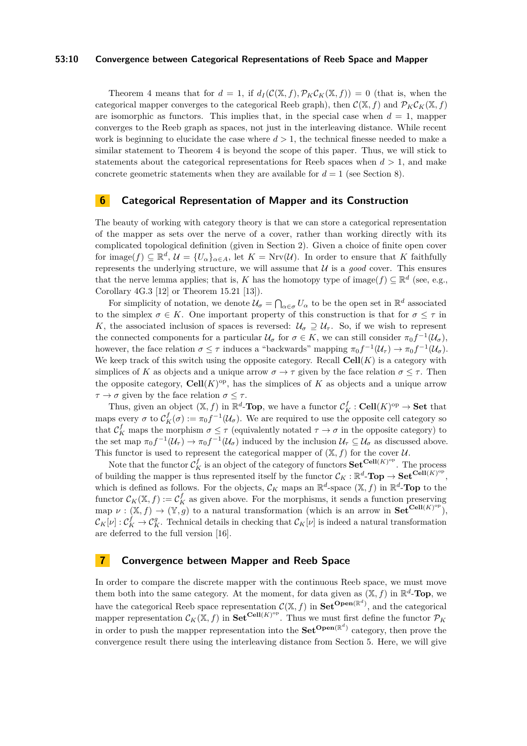### **53:10 Convergence between Categorical Representations of Reeb Space and Mapper**

Theorem [4](#page-8-3) means that for  $d = 1$ , if  $d_I(\mathcal{C}(\mathbb{X}, f), \mathcal{P}_K \mathcal{C}_K(\mathbb{X}, f)) = 0$  (that is, when the categorical mapper converges to the categorical Reeb graph), then  $\mathcal{C}(\mathbb{X}, f)$  and  $\mathcal{P}_K\mathcal{C}_K(\mathbb{X}, f)$ are isomorphic as functors. This implies that, in the special case when  $d = 1$ , mapper converges to the Reeb graph as spaces, not just in the interleaving distance. While recent work is beginning to elucidate the case where  $d > 1$ , the technical finesse needed to make a similar statement to Theorem [4](#page-8-3) is beyond the scope of this paper. Thus, we will stick to statements about the categorical representations for Reeb spaces when  $d > 1$ , and make concrete geometric statements when they are available for  $d = 1$  (see Section [8\)](#page-12-0).

### <span id="page-9-0"></span>**6 Categorical Representation of Mapper and its Construction**

The beauty of working with category theory is that we can store a categorical representation of the mapper as sets over the nerve of a cover, rather than working directly with its complicated topological definition (given in Section [2\)](#page-2-2). Given a choice of finite open cover for image( $f$ )  $\subseteq \mathbb{R}^d$ ,  $\mathcal{U} = \{U_\alpha\}_{\alpha \in A}$ , let  $K = Nrv(\mathcal{U})$ . In order to ensure that *K* faithfully represents the underlying structure, we will assume that  $U$  is a *good* cover. This ensures that the nerve lemma applies; that is, *K* has the homotopy type of image $(f) \subseteq \mathbb{R}^d$  (see, e.g., Corollary 4G.3 [\[12\]](#page-15-14) or Theorem 15.21 [\[13\]](#page-15-15)).

For simplicity of notation, we denote  $\mathcal{U}_{\sigma} = \bigcap_{\alpha \in \sigma} U_{\alpha}$  to be the open set in  $\mathbb{R}^d$  associated to the simplex  $\sigma \in K$ . One important property of this construction is that for  $\sigma \leq \tau$  in *K*, the associated inclusion of spaces is reversed:  $U_{\sigma} \supset U_{\tau}$ . So, if we wish to represent the connected components for a particular  $\mathcal{U}_{\sigma}$  for  $\sigma \in K$ , we can still consider  $\pi_0 f^{-1}(\mathcal{U}_{\sigma})$ , however, the face relation  $\sigma \leq \tau$  induces a "backwards" mapping  $\pi_0 f^{-1}(\mathcal{U}_\tau) \to \pi_0 f^{-1}(\mathcal{U}_\sigma)$ . We keep track of this switch using the opposite category. Recall **Cell**(*K*) is a category with simplices of K as objects and a unique arrow  $\sigma \to \tau$  given by the face relation  $\sigma \leq \tau$ . Then the opposite category,  $\text{Cell}(K)$ <sup>op</sup>, has the simplices of *K* as objects and a unique arrow *τ* → *σ* given by the face relation  $σ ≤ τ$ .

Thus, given an object  $(X, f)$  in  $\mathbb{R}^d$ -**Top**, we have a functor  $\mathcal{C}_K^f$ : Cell $(K)$ <sup>op</sup>  $\to$  Set that maps every  $\sigma$  to  $\mathcal{C}_K^f(\sigma) := \pi_0 f^{-1}(\mathcal{U}_\sigma)$ . We are required to use the opposite cell category so that  $\mathcal{C}_K^f$  maps the morphism  $\sigma \leq \tau$  (equivalently notated  $\tau \to \sigma$  in the opposite category) to the set map  $\pi_0 f^{-1}(\mathcal{U}_\tau) \to \pi_0 f^{-1}(\mathcal{U}_\sigma)$  induced by the inclusion  $\mathcal{U}_\tau \subseteq \mathcal{U}_\sigma$  as discussed above. This functor is used to represent the categorical mapper of  $(X, f)$  for the cover U.

Note that the functor  $\mathcal{C}_K^f$  is an object of the category of functors  $\mathbf{Set}^{\mathbf{Cell}(K)^{op}}$ . The process of building the mapper is thus represented itself by the functor  $\mathcal{C}_K : \mathbb{R}^d$ **-Top**  $\to$  **Set**<sup>Cell(*K*)<sup>op</sup>,</sup> which is defined as follows. For the objects,  $\mathcal{C}_K$  maps an  $\mathbb{R}^d$ -space  $(\mathbb{X}, f)$  in  $\mathbb{R}^d$ -**Top** to the functor  $\mathcal{C}_K(\mathbb{X}, f) := \mathcal{C}_K^f$  as given above. For the morphisms, it sends a function preserving map  $\nu : (\mathbb{X}, f) \to (\mathbb{Y}, g)$  to a natural transformation (which is an arrow in  $\mathbf{Set}^{\mathbf{Cell}(K)^{op}}$ ),  $\mathcal{C}_K[\nu]: \mathcal{C}_K^f \to \mathcal{C}_K^g$ . Technical details in checking that  $\mathcal{C}_K[\nu]$  is indeed a natural transformation are deferred to the full version [\[16\]](#page-15-13).

### <span id="page-9-1"></span>**7 Convergence between Mapper and Reeb Space**

In order to compare the discrete mapper with the continuous Reeb space, we must move them both into the same category. At the moment, for data given as  $(\mathbb{X}, f)$  in  $\mathbb{R}^d$ -**Top**, we have the categorical Reeb space representation  $C(\mathbb{X}, f)$  in  $\mathbf{Set}^{\mathbf{Open}(\mathbb{R}^d)}$ , and the categorical mapper representation  $\mathcal{C}_K(\mathbb{X}, f)$  in  $\mathbf{Set}^{\mathbf{Cell}(K)^{op}}$ . Thus we must first define the functor  $\mathcal{P}_K$ in order to push the mapper representation into the  $\mathbf{Set}^{\mathbf{Open}(\mathbb{R}^d)}$  category, then prove the convergence result there using the interleaving distance from Section [5.](#page-8-2) Here, we will give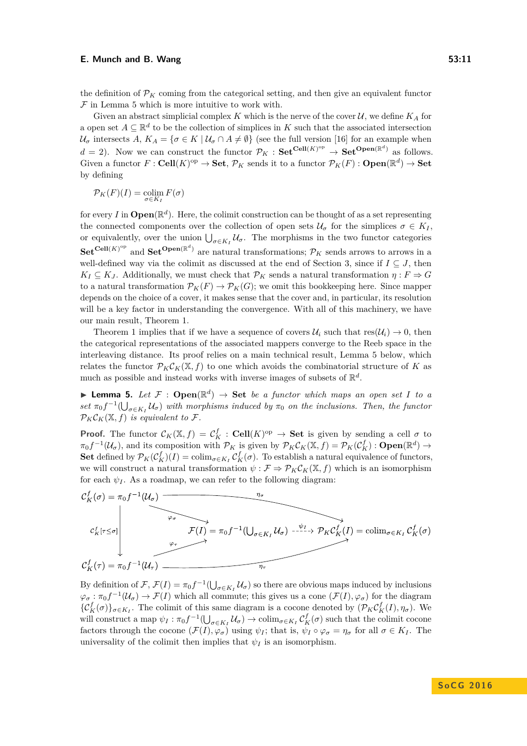the definition of  $\mathcal{P}_K$  coming from the categorical setting, and then give an equivalent functor  $\mathcal F$  in Lemma [5](#page-10-0) which is more intuitive to work with.

Given an abstract simplicial complex K which is the nerve of the cover  $\mathcal{U}$ , we define  $K_A$  for a open set  $A \subseteq \mathbb{R}^d$  to be the collection of simplices in K such that the associated intersection  $U_{\sigma}$  intersects *A*,  $K_A = {\sigma \in K \mid U_{\sigma} \cap A \neq \emptyset}$  (see the full version [\[16\]](#page-15-13) for an example when  $d = 2$ ). Now we can construct the functor  $\mathcal{P}_K$ :  $\mathbf{Set}^{\mathbf{Cell}(K)^{op}} \to \mathbf{Set}^{\mathbf{Open}(\mathbb{R}^d)}$  as follows. Given a functor  $F: \text{Cell}(K)^\text{op} \to \text{Set}$ ,  $\mathcal{P}_K$  sends it to a functor  $\mathcal{P}_K(F): \text{Open}(\mathbb{R}^d) \to \text{Set}$ by defining

$$
\mathcal{P}_K(F)(I) = \operatornamewithlimits{colim}_{\sigma \in K_I} F(\sigma)
$$

for every *I* in  $\mathbf{Open}(\mathbb{R}^d)$ . Here, the colimit construction can be thought of as a set representing the connected components over the collection of open sets  $\mathcal{U}_{\sigma}$  for the simplices  $\sigma \in K_I$ , or equivalently, over the union  $\bigcup_{\sigma \in K_I} \mathcal{U}_{\sigma}$ . The morphisms in the two functor categories  $\textbf{Set}^{\textbf{Cell}(K)^{op}}$  and  $\textbf{Set}^{\textbf{Open}(\mathbb{R}^d)}$  are natural transformations;  $\mathcal{P}_K$  sends arrows to arrows in a well-defined way via the colimit as discussed at the end of Section [3,](#page-3-1) since if  $I \subseteq J$ , then  $K_I \subseteq K_J$ . Additionally, we must check that  $\mathcal{P}_K$  sends a natural transformation  $\eta : F \Rightarrow G$ to a natural transformation  $\mathcal{P}_K(F) \to \mathcal{P}_K(G)$ ; we omit this bookkeeping here. Since mapper depends on the choice of a cover, it makes sense that the cover and, in particular, its resolution will be a key factor in understanding the convergence. With all of this machinery, we have our main result, Theorem [1.](#page-7-0)

Theorem [1](#page-7-0) implies that if we have a sequence of covers  $\mathcal{U}_i$  such that  $res(\mathcal{U}_i) \to 0$ , then the categorical representations of the associated mappers converge to the Reeb space in the interleaving distance. Its proof relies on a main technical result, Lemma [5](#page-10-0) below, which relates the functor  $\mathcal{P}_K C_K(\mathbb{X}, f)$  to one which avoids the combinatorial structure of K as much as possible and instead works with inverse images of subsets of  $\mathbb{R}^d$ .

<span id="page-10-0"></span>**I Lemma 5.** Let  $\mathcal{F}$  :  $\mathbf{Open}(\mathbb{R}^d) \to \mathbf{Set}$  *be a functor which maps an open set I to a*  $\int \int_0^{\pi} f(t) \, dt = \int_0^{\pi} f(t) \, dt$  *set*  $\pi_0 f^{-1}(\bigcup_{\sigma \in K_I} \mathcal{U}_{\sigma})$  *with morphisms induced by*  $\pi_0$  *on the inclusions. Then, the functor*  $\mathcal{P}_K \mathcal{C}_K(\mathbb{X}, f)$  *is equivalent to*  $\mathcal{F}.$ 

**Proof.** The functor  $\mathcal{C}_K(\mathbb{X}, f) = \mathcal{C}_K^f$ : Cell $(K)^\text{op} \to \text{Set}$  is given by sending a cell  $\sigma$  to  $\pi_0 f^{-1}(\mathcal{U}_\sigma)$ , and its composition with  $\mathcal{P}_K$  is given by  $\mathcal{P}_K \mathcal{C}_K(\mathbb{X}, f) = \mathcal{P}_K(\mathcal{C}_K^f) : \mathbf{Open}(\mathbb{R}^d) \to$ **Set** defined by  $\mathcal{P}_K(\mathcal{C}_K^f)(I) = \text{colim}_{\sigma \in K_I} \mathcal{C}_K^f(\sigma)$ . To establish a natural equivalence of functors, we will construct a natural transformation  $\psi : \mathcal{F} \Rightarrow \mathcal{P}_K \mathcal{C}_K(\mathbb{X}, f)$  which is an isomorphism for each  $\psi_I$ . As a roadmap, we can refer to the following diagram:



By definition of  $\mathcal{F}, \mathcal{F}(I) = \pi_0 f^{-1}(\bigcup_{\sigma \in K_I} \mathcal{U}_\sigma)$  so there are obvious maps induced by inclusions  $\varphi_{\sigma} : \pi_0 f^{-1}(\mathcal{U}_{\sigma}) \to \mathcal{F}(I)$  which all commute; this gives us a cone  $(\mathcal{F}(I), \varphi_{\sigma})$  for the diagram  $\{\mathcal{C}_K^f(\sigma)\}_{\sigma \in K_I}$ . The colimit of this same diagram is a cocone denoted by  $(\mathcal{P}_K \mathcal{C}_K^f(I), \eta_\sigma)$ . We will construct a map  $\psi_I : \pi_0 f^{-1}(\bigcup_{\sigma \in K_I} \mathcal{U}_\sigma) \to \text{colim}_{\sigma \in K_I} C^f_K(\sigma)$  such that the colimit cocone factors through the cocone  $(\mathcal{F}(I), \varphi_{\sigma})$  using  $\psi_I$ ; that is,  $\psi_I \circ \varphi_{\sigma} = \eta_{\sigma}$  for all  $\sigma \in K_I$ . The universality of the colimit then implies that  $\psi_I$  is an isomorphism.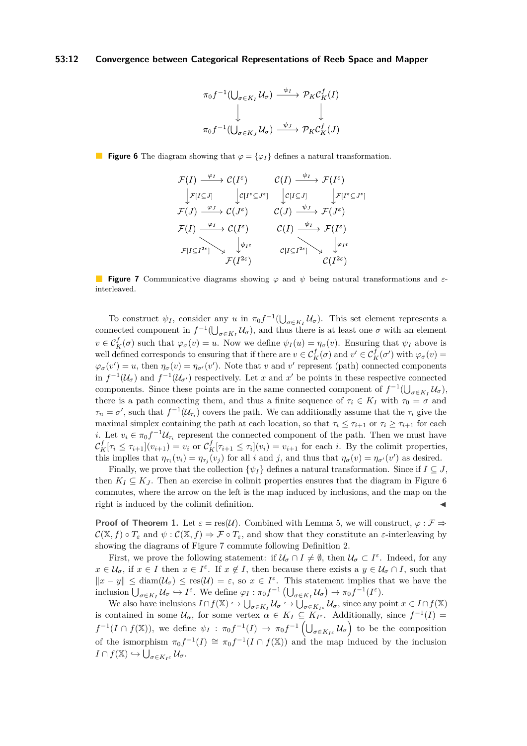### <span id="page-11-0"></span>**53:12 Convergence between Categorical Representations of Reeb Space and Mapper**

$$
\pi_0 f^{-1}(\bigcup_{\sigma \in K_I} \mathcal{U}_{\sigma}) \xrightarrow{\psi_I} \mathcal{P}_K \mathcal{C}_K^f(I)
$$
\n
$$
\downarrow \qquad \qquad \downarrow
$$
\n
$$
\pi_0 f^{-1}(\bigcup_{\sigma \in K_J} \mathcal{U}_{\sigma}) \xrightarrow{\psi_J} \mathcal{P}_K \mathcal{C}_K^f(J)
$$

<span id="page-11-1"></span>**Figure 6** The diagram showing that  $\varphi = {\varphi_I}$  defines a natural transformation.

$$
\mathcal{F}(I) \xrightarrow{\varphi_I} \mathcal{C}(I^{\varepsilon}) \qquad \mathcal{C}(I) \xrightarrow{\psi_I} \mathcal{F}(I^{\varepsilon})
$$
\n
$$
\downarrow \mathcal{F}[I \subseteq J] \qquad \downarrow \mathcal{C}[I^{\varepsilon} \subseteq J^{\varepsilon}] \qquad \downarrow \mathcal{F}[I^{\varepsilon} \subseteq J^{\varepsilon}]
$$
\n
$$
\mathcal{F}(J) \xrightarrow{\varphi_J} \mathcal{C}(J^{\varepsilon}) \qquad \mathcal{C}(J) \xrightarrow{\psi_J} \mathcal{F}(J^{\varepsilon})
$$
\n
$$
\mathcal{F}(I) \xrightarrow{\varphi_I} \mathcal{C}(I^{\varepsilon}) \qquad \mathcal{C}(I) \xrightarrow{\psi_I} \mathcal{F}(I^{\varepsilon})
$$
\n
$$
\mathcal{F}[I \subseteq I^{2\varepsilon}] \longrightarrow \qquad \downarrow \psi_{I^{\varepsilon}} \qquad \qquad \mathcal{C}[I \subseteq I^{2\varepsilon}] \longrightarrow \qquad \downarrow \varphi_{I^{\varepsilon}}
$$
\n
$$
\mathcal{F}(I^{2\varepsilon}) \qquad \qquad \mathcal{C}(I^{2\varepsilon}) \qquad \qquad \mathcal{C}(I^{2\varepsilon})
$$

**Figure 7** Communicative diagrams showing *ϕ* and *ψ* being natural transformations and *ε*interleaved.

To construct  $\psi_I$ , consider any *u* in  $\pi_0 f^{-1}(\bigcup_{\sigma \in K_I} \mathcal{U}_\sigma)$ . This set element represents a connected component in  $f^{-1}(\bigcup_{\sigma \in K_I} \mathcal{U}_{\sigma})$ , and thus there is at least one  $\sigma$  with an element  $v \in C_K^f(\sigma)$  such that  $\varphi_{\sigma}(v) = u$ . Now we define  $\psi_I(u) = \eta_{\sigma}(v)$ . Ensuring that  $\psi_I$  above is well defined corresponds to ensuring that if there are  $v \in \mathcal{C}_K^f(\sigma)$  and  $v' \in \mathcal{C}_K^f(\sigma')$  with  $\varphi_\sigma(v) =$  $\varphi_{\sigma}(v') = u$ , then  $\eta_{\sigma}(v) = \eta_{\sigma'}(v')$ . Note that *v* and *v*' represent (path) connected components in  $f^{-1}(\mathcal{U}_{\sigma})$  and  $f^{-1}(\mathcal{U}_{\sigma'})$  respectively. Let *x* and *x'* be points in these respective connected components. Since these points are in the same connected component of  $f^{-1}(\bigcup_{\sigma \in K_I} \mathcal{U}_{\sigma})$ , there is a path connecting them, and thus a finite sequence of  $\tau_i \in K_I$  with  $\tau_0 = \sigma$  and  $\tau_n = \sigma'$ , such that  $f^{-1}(\mathcal{U}_{\tau_i})$  covers the path. We can additionally assume that the  $\tau_i$  give the maximal simplex containing the path at each location, so that  $\tau_i \leq \tau_{i+1}$  or  $\tau_i \geq \tau_{i+1}$  for each *i*. Let  $v_i \in \pi_0 f^{-1} \mathcal{U}_{\tau_i}$  represent the connected component of the path. Then we must have  $\mathcal{C}_K^f[\tau_i \leq \tau_{i+1}](v_{i+1}) = v_i$  or  $\mathcal{C}_K^f[\tau_{i+1} \leq \tau_i](v_i) = v_{i+1}$  for each i. By the colimit properties, this implies that  $\eta_{\tau_i}(v_i) = \eta_{\tau_j}(v_j)$  for all i and j, and thus that  $\eta_{\sigma}(v) = \eta_{\sigma'}(v')$  as desired.

Finally, we prove that the collection  $\{\psi_I\}$  defines a natural transformation. Since if  $I \subseteq J$ , then  $K_I \subseteq K_J$ . Then an exercise in colimit properties ensures that the diagram in Figure [6](#page-11-0) commutes, where the arrow on the left is the map induced by inclusions, and the map on the right is induced by the colimit definition.

**Proof of Theorem [1.](#page-7-0)** Let  $\varepsilon = \text{res}(\mathcal{U})$ . Combined with Lemma [5,](#page-10-0) we will construct,  $\varphi : \mathcal{F} \Rightarrow$  $\mathcal{C}(\mathbb{X}, f) \circ T_{\varepsilon}$  and  $\psi : \mathcal{C}(\mathbb{X}, f) \Rightarrow \mathcal{F} \circ T_{\varepsilon}$ , and show that they constitute an  $\varepsilon$ -interleaving by showing the diagrams of Figure [7](#page-11-1) commute following Definition [2.](#page-8-0)

First, we prove the following statement: if  $\mathcal{U}_{\sigma} \cap I \neq \emptyset$ , then  $\mathcal{U}_{\sigma} \subset I^{\varepsilon}$ . Indeed, for any  $x \in \mathcal{U}_{\sigma}$ , if  $x \in I$  then  $x \in I^{\varepsilon}$ . If  $x \notin I$ , then because there exists a  $y \in \mathcal{U}_{\sigma} \cap I$ , such that  $\|x - y\| \leq \text{diam}(\mathcal{U}_{\sigma}) \leq \text{res}(\mathcal{U}) = \varepsilon$ , so  $x \in I^{\varepsilon}$ . This statement implies that we have the inclusion  $\bigcup_{\sigma \in K_I} U_{\sigma} \hookrightarrow I^{\varepsilon}$ . We define  $\varphi_I : \pi_0 f^{-1} \left( \bigcup_{\sigma \in K_I} U_{\sigma} \right) \to \pi_0 f^{-1}(I^{\varepsilon})$ .

We also have inclusions  $I \cap f(\mathbb{X}) \hookrightarrow \bigcup_{\sigma \in K_I} \mathcal{U}_{\sigma} \hookrightarrow \bigcup_{\sigma \in K_{I^c}} \mathcal{U}_{\sigma}$ , since any point  $x \in I \cap f(\mathbb{X})$ is contained in some  $U_\alpha$ , for some vertex  $\alpha \in K_I \subseteq K_{I^{\varepsilon}}$ . Additionally, since  $f^{-1}(I)$  $f^{-1}(I \cap f(\mathbb{X}))$ , we define  $\psi_I : \pi_0 f^{-1}(I) \to \pi_0 f^{-1}(\bigcup_{\sigma \in K_{I^c}} \mathcal{U}_{\sigma} \big)$  to be the composition of the ismorphism  $\pi_0 f^{-1}(I) \cong \pi_0 f^{-1}(I \cap f(\mathbb{X}))$  and the map induced by the inclusion  $I \cap f(\mathbb{X}) \hookrightarrow \bigcup_{\sigma \in K_I^{\varepsilon}} \mathcal{U}_{\sigma}.$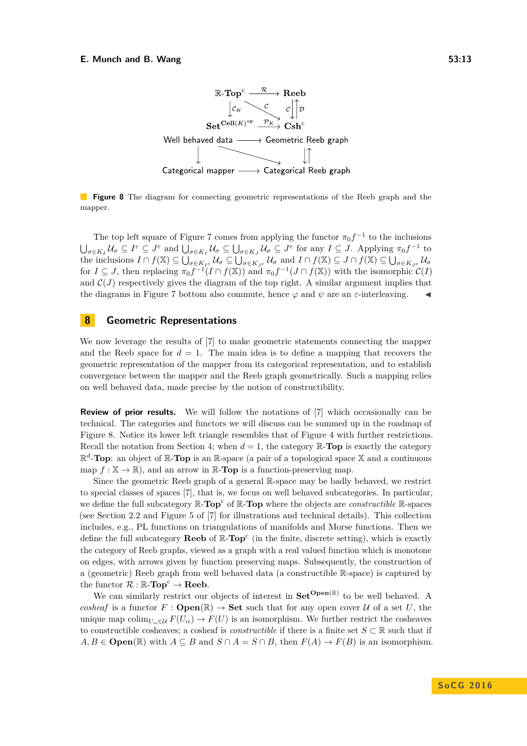<span id="page-12-1"></span>

**Figure 8** The diagram for connecting geometric representations of the Reeb graph and the mapper.

The top left square of Figure [7](#page-11-1) comes from applying the functor  $\pi_0 f^{-1}$  to the inclusions  $\bigcup_{\sigma\in K_I}\mathcal{U}_\sigma\subseteq I^\varepsilon\subseteq J^\varepsilon$  and  $\bigcup_{\sigma\in K_I}\mathcal{U}_\sigma\subseteq\bigcup_{\sigma\in K_J}\mathcal{U}_\sigma\subseteq J^\varepsilon$  for any  $I\subseteq J$ . Applying  $\pi_0f^{-1}$  to  $U_{\sigma\in K}$  *f*( $X$ )  $\subseteq \bigcup_{\sigma\in K}$   $\iota_{\sigma}$   $\subseteq \bigcup_{\sigma\in K}$   $\iota_{\sigma}$  and  $I \cap f(X) \subseteq J \cap f(X) \subseteq \bigcup_{\sigma\in K}$   $\iota_{\sigma}$ for  $I \subseteq J$ , then replacing  $\pi_0 f^{-1}(I \cap f(\mathbb{X}))$  and  $\pi_0 f^{-1}(J \cap f(\mathbb{X}))$  with the isomorphic  $\mathcal{C}(I)$ and  $\mathcal{C}(J)$  respectively gives the diagram of the top right. A similar argument implies that the diagrams in Figure [7](#page-11-1) bottom also commute, hence  $\varphi$  and  $\psi$  are an *ε*-interleaving.

# <span id="page-12-0"></span>**8 Geometric Representations**

We now leverage the results of [\[7\]](#page-14-1) to make geometric statements connecting the mapper and the Reeb space for  $d = 1$ . The main idea is to define a mapping that recovers the geometric representation of the mapper from its categorical representation, and to establish convergence between the mapper and the Reeb graph geometrically. Such a mapping relies on well behaved data, made precise by the notion of constructibility.

**Review of prior results.** We will follow the notations of [\[7\]](#page-14-1) which occasionally can be technical. The categories and functors we will discuss can be summed up in the roadmap of Figure [8.](#page-12-1) Notice its lower left triangle resembles that of Figure [4](#page-5-1) with further restrictions. Recall the notation from Section [4;](#page-5-2) when  $d = 1$ , the category  $\mathbb{R}\text{-Top}$  is exactly the category  $\mathbb{R}^d$ -**Top**: an object of  $\mathbb{R}$ -**Top** is an  $\mathbb{R}$ -space (a pair of a topological space X and a continuous map  $f : \mathbb{X} \to \mathbb{R}$ , and an arrow in  $\mathbb{R}$ -**Top** is a function-preserving map.

Since the geometric Reeb graph of a general R-space may be badly behaved, we restrict to special classes of spaces [\[7\]](#page-14-1), that is, we focus on well behaved subcategories. In particular, we define the full subcategory  $\mathbb{R}\text{-Top}^c$  of  $\mathbb{R}\text{-Top}$  where the objects are *constructible*  $\mathbb{R}\text{-spaces}$ (see Section 2.2 and Figure 5 of [\[7\]](#page-14-1) for illustrations and technical details). This collection includes, e.g., PL functions on triangulations of manifolds and Morse functions. Then we define the full subcategory **Reeb** of  $\mathbb{R}\text{-Top}^c$  (in the finite, discrete setting), which is exactly the category of Reeb graphs, viewed as a graph with a real valued function which is monotone on edges, with arrows given by function preserving maps. Subsequently, the construction of a (geometric) Reeb graph from well behaved data (a constructible R-space) is captured by the functor  $\mathcal{R} : \mathbb{R}\text{-Top}^c \to \textbf{Reeb}$ .

We can similarly restrict our objects of interest in  $\mathbf{Set}^{\mathbf{Open}(\mathbb{R})}$  to be well behaved. A *cosheaf* is a functor  $F : \mathbf{Open}(\mathbb{R}) \to \mathbf{Set}$  such that for any open cover  $U$  of a set U, the unique map colim<sub>*U<sub>a</sub>*∈U  $F(U_\alpha) \to F(U)$  is an isomorphism. We further restrict the cosheaves</sub> to constructible cosheaves; a cosheaf is *constructible* if there is a finite set  $S \subset \mathbb{R}$  such that if *A, B* ∈ **Open**(ℝ) with *A* ⊆ *B* and *S* ∩ *A* = *S* ∩ *B*, then  $F(A)$  →  $F(B)$  is an isomorphism.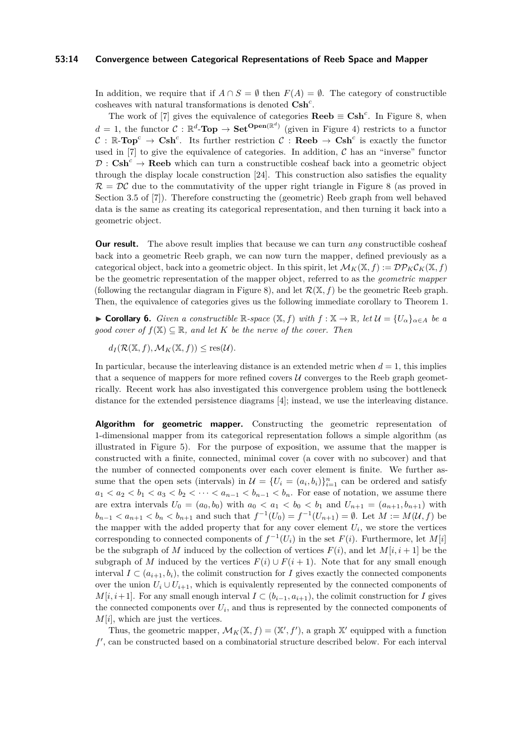### **53:14 Convergence between Categorical Representations of Reeb Space and Mapper**

In addition, we require that if  $A \cap S = \emptyset$  then  $F(A) = \emptyset$ . The category of constructible cosheaves with natural transformations is denoted **Csh***<sup>c</sup>* .

The work of [\[7\]](#page-14-1) gives the equivalence of categories  $\textbf{Reeb} \equiv \textbf{Csh}^c$ . In Figure [8,](#page-12-1) when  $d = 1$ , the functor  $C : \mathbb{R}^d$ -**Top**  $\rightarrow$  **Set**<sup>**Open**( $\mathbb{R}^d$ ) (given in Figure [4\)](#page-5-1) restricts to a functor</sup>  $C : \mathbb{R}\text{-Top}^c \to \text{Csh}^c$ . Its further restriction  $C : \text{Reeb} \to \text{Csh}^c$  is exactly the functor used in [\[7\]](#page-14-1) to give the equivalence of categories. In addition,  $\mathcal C$  has an "inverse" functor  $\mathcal{D}: \mathbf{Csh}^c \to \mathbf{Reeb}$  which can turn a constructible cosheaf back into a geometric object through the display locale construction [\[24\]](#page-15-16). This construction also satisfies the equality  $\mathcal{R} = \mathcal{DC}$  due to the commutativity of the upper right triangle in Figure [8](#page-12-1) (as proved in Section 3.5 of [\[7\]](#page-14-1)). Therefore constructing the (geometric) Reeb graph from well behaved data is the same as creating its categorical representation, and then turning it back into a geometric object.

**Our result.** The above result implies that because we can turn *any* constructible cosheaf back into a geometric Reeb graph, we can now turn the mapper, defined previously as a categorical object, back into a geometric object. In this spirit, let  $\mathcal{M}_K(\mathbb{X}, f) := \mathcal{DP}_K \mathcal{C}_K(\mathbb{X}, f)$ be the geometric representation of the mapper object, referred to as the *geometric mapper* (following the rectangular diagram in Figure [8\)](#page-12-1), and let  $\mathcal{R}(\mathbb{X}, f)$  be the geometric Reeb graph. Then, the equivalence of categories gives us the following immediate corollary to Theorem [1.](#page-7-0)

<span id="page-13-0"></span>**► Corollary 6.** *Given a constructible*  $\mathbb{R}$ -space  $(\mathbb{X}, f)$  *with*  $f : \mathbb{X} \to \mathbb{R}$ *, let*  $\mathcal{U} = \{U_{\alpha}\}_{\alpha \in A}$  *be a good cover of*  $f(\mathbb{X}) \subseteq \mathbb{R}$ *, and let K be the nerve of the cover. Then* 

 $d_I(\mathcal{R}(\mathbb{X}, f), \mathcal{M}_K(\mathbb{X}, f)) \leq \text{res}(\mathcal{U}).$ 

In particular, because the interleaving distance is an extended metric when  $d = 1$ , this implies that a sequence of mappers for more refined covers  $\mathcal U$  converges to the Reeb graph geometrically. Recent work has also investigated this convergence problem using the bottleneck distance for the extended persistence diagrams [\[4\]](#page-14-7); instead, we use the interleaving distance.

**Algorithm for geometric mapper.** Constructing the geometric representation of 1-dimensional mapper from its categorical representation follows a simple algorithm (as illustrated in Figure [5\)](#page-6-0). For the purpose of exposition, we assume that the mapper is constructed with a finite, connected, minimal cover (a cover with no subcover) and that the number of connected components over each cover element is finite. We further assume that the open sets (intervals) in  $\mathcal{U} = \{U_i = (a_i, b_i)\}_{i=1}^n$  can be ordered and satisfy  $a_1 < a_2 < b_1 < a_3 < b_2 < \cdots < a_{n-1} < b_{n-1} < b_n$ . For ease of notation, we assume there are extra intervals  $U_0 = (a_0, b_0)$  with  $a_0 < a_1 < b_0 < b_1$  and  $U_{n+1} = (a_{n+1}, b_{n+1})$  with  $b_{n-1} < a_{n+1} < b_n < b_{n+1}$  and such that  $f^{-1}(U_0) = f^{-1}(U_{n+1}) = \emptyset$ . Let  $M := M(U, f)$  be the mapper with the added property that for any cover element  $U_i$ , we store the vertices corresponding to connected components of  $f^{-1}(U_i)$  in the set  $F(i)$ . Furthermore, let  $M[i]$ be the subgraph of *M* induced by the collection of vertices  $F(i)$ , and let  $M[i, i + 1]$  be the subgraph of *M* induced by the vertices  $F(i) \cup F(i + 1)$ . Note that for any small enough interval  $I \subset (a_{i+1}, b_i)$ , the colimit construction for *I* gives exactly the connected components over the union  $U_i \cup U_{i+1}$ , which is equivalently represented by the connected components of *M*[*i*, *i*+1]. For any small enough interval *I* ⊂ ( $b_{i-1}, a_{i+1}$ ), the colimit construction for *I* gives the connected components over  $U_i$ , and thus is represented by the connected components of *M*[*i*], which are just the vertices.

Thus, the geometric mapper,  $\mathcal{M}_K(\mathbb{X}, f) = (\mathbb{X}', f')$ , a graph  $\mathbb{X}'$  equipped with a function f', can be constructed based on a combinatorial structure described below. For each interval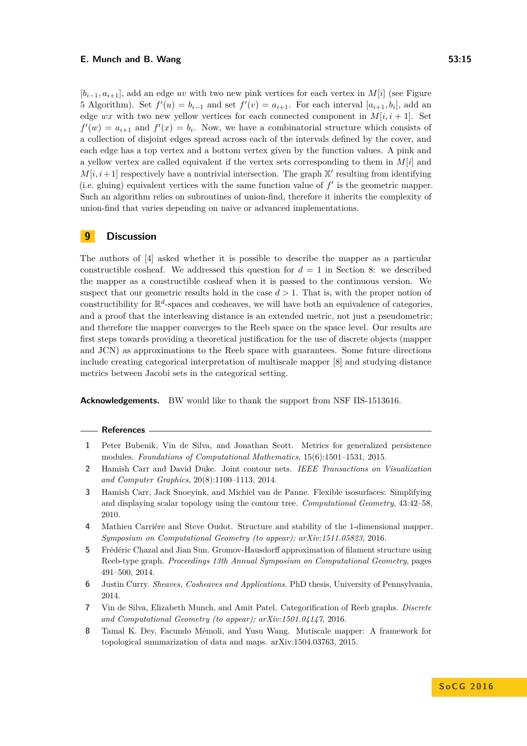$[b_{i-1}, a_{i+1}]$ , add an edge *uv* with two new pink vertices for each vertex in *M*[*i*] (see Figure [5](#page-6-0) Algorithm). Set  $f'(u) = b_{i-1}$  and set  $f'(v) = a_{i+1}$ . For each interval  $[a_{i+1}, b_i]$ , add an edge *wx* with two new yellow vertices for each connected component in  $M[i, i + 1]$ . Set  $f'(w) = a_{i+1}$  and  $f'(x) = b_i$ . Now, we have a combinatorial structure which consists of a collection of disjoint edges spread across each of the intervals defined by the cover, and each edge has a top vertex and a bottom vertex given by the function values. A pink and a yellow vertex are called equivalent if the vertex sets corresponding to them in *M*[*i*] and  $M[i, i+1]$  respectively have a nontrivial intersection. The graph  $X'$  resulting from identifying (i.e. gluing) equivalent vertices with the same function value of  $f'$  is the geometric mapper. Such an algorithm relies on subroutines of union-find, therefore it inherits the complexity of union-find that varies depending on naive or advanced implementations.

### **9 Discussion**

The authors of [\[4\]](#page-14-7) asked whether it is possible to describe the mapper as a particular constructible cosheaf. We addressed this question for  $d = 1$  in Section [8:](#page-12-0) we described the mapper as a constructible cosheaf when it is passed to the continuous version. We suspect that our geometric results hold in the case  $d > 1$ . That is, with the proper notion of constructibility for  $\mathbb{R}^d$ -spaces and cosheaves, we will have both an equivalence of categories, and a proof that the interleaving distance is an extended metric, not just a pseudometric; and therefore the mapper converges to the Reeb space on the space level. Our results are first steps towards providing a theoretical justification for the use of discrete objects (mapper and JCN) as approximations to the Reeb space with guarantees. Some future directions include creating categorical interpretation of multiscale mapper [\[8\]](#page-14-4) and studying distance metrics between Jacobi sets in the categorical setting.

**Acknowledgements.** BW would like to thank the support from NSF IIS-1513616.

#### **References**

- <span id="page-14-6"></span>**1** Peter Bubenik, Vin de Silva, and Jonathan Scott. Metrics for generalized persistence modules. *Foundations of Computational Mathematics*, 15(6):1501–1531, 2015.
- <span id="page-14-5"></span>**2** Hamish Carr and David Duke. Joint contour nets. *IEEE Transactions on Visualization and Computer Graphics*, 20(8):1100–1113, 2014.
- <span id="page-14-0"></span>**3** Hamish Carr, Jack Snoeyink, and Michiel van de Panne. Flexible isosurfaces: Simplifying and displaying scalar topology using the contour tree. *Computational Geometry*, 43:42–58, 2010.
- <span id="page-14-7"></span>**4** Mathieu Carriére and Steve Oudot. Structure and stability of the 1-dimensional mapper. *Symposium on Computational Geometry (to appear); arXiv:1511.05823*, 2016.
- <span id="page-14-3"></span>**5** Frédéric Chazal and Jian Sun. Gromov-Hausdorff approximation of filament structure using Reeb-type graph. *Proceedings 13th Annual Symposium on Computational Geometry*, pages 491–500, 2014.
- <span id="page-14-2"></span>**6** Justin Curry. *Sheaves, Cosheaves and Applications*. PhD thesis, University of Pennsylvania, 2014.
- <span id="page-14-1"></span>**7** Vin de Silva, Elizabeth Munch, and Amit Patel. Categorification of Reeb graphs. *Discrete and Computational Geometry (to appear); arXiv:1501.04147*, 2016.
- <span id="page-14-4"></span>**8** Tamal K. Dey, Facundo Mémoli, and Yusu Wang. Mutiscale mapper: A framework for topological summarization of data and maps. arXiv:1504.03763, 2015.